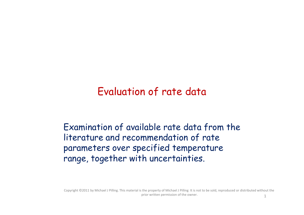### Evaluation of rate data

Examination of available rate data from the literature and recommendation of rate parameters over specified temperature range, together with uncertainties.

Copyright ©2011 by Michael J Pilling. This material is the property of Michael J Pilling It is not to be sold, reproduced or distributed without the prior written permission of the owner. 1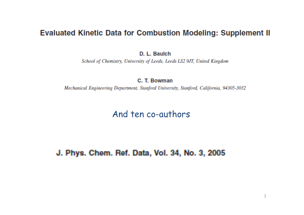#### **Evaluated Kinetic Data for Combustion Modeling: Supplement II**

D. L. Baulch

School of Chemistry, University of Leeds, Leeds LS2 9JT, United Kingdom

C. T. Bowman

Mechanical Engineering Department, Stanford University, Stanford, California, 94305-3032

#### And ten co-authors

J. Phys. Chem. Ref. Data, Vol. 34, No. 3, 2005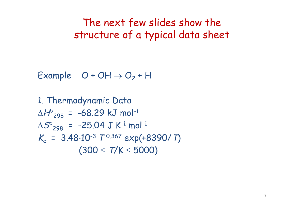The next few slides show the structure of a typical data sheet

Example  $O + OH \rightarrow O_2 + H$ 

1. Thermodynamic Data  $\Delta H^{\circ}_{298}$  = -68.29 kJ mol<sup>-1</sup>  $\Delta \mathcal{S}^{\circ}_{$ 298 = -25.04 J K<sup>-1</sup> mol<sup>-1</sup>  $K_c$  = 3.48.10<sup>-3</sup>  $T^{0.367}$  exp(+8390/ T)  $(300 \le T/K \le 5000)$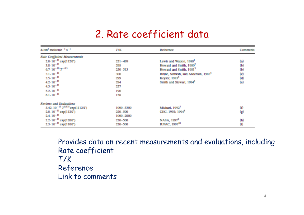### 2. Rate coefficient data

| $k$ /cm <sup>3</sup> molecule <sup>-1</sup> s <sup>-1</sup> | <b>T/K</b>  | Reference                                      | Comments                               |
|-------------------------------------------------------------|-------------|------------------------------------------------|----------------------------------------|
| <b>Rate Coefficient Measurements</b>                        |             |                                                |                                        |
| $2.0-10^{-11}$ exp(112/T)                                   | $221 - 499$ | Lewis and Walson, 1980 <sup>1</sup>            | $\bf(a)$                               |
| $3.8 \cdot 10^{-11}$                                        | 2506        | Howard and Smith, 1980 <sup>2</sup>            |                                        |
| $6.7 \cdot 10^{-10} T^{-0.5}$                               | 250-515     | Howard and Smith, 1981 <sup>3</sup>            | $\begin{pmatrix} 0 \\ 0 \end{pmatrix}$ |
| $3.1 \cdot 10^{-11}$                                        | 300         | Brune, Schwab, and Anderson, 1983 <sup>4</sup> | $\left( c\right)$                      |
| $3.5 \cdot 10^{-11}$                                        | 299         | Keyser, 1983 <sup>5</sup>                      | (d)                                    |
| $4.2 \cdot 10^{-11}$                                        | 294         | Smith and Stewart, 1994 <sup>6</sup>           | (e)                                    |
| $4.5 \cdot 10^{-11}$                                        | 227         |                                                |                                        |
| $5.2 \cdot 10^{-11}$                                        | 190         |                                                |                                        |
| $6.1 \cdot 10^{-11}$                                        | 158.        |                                                |                                        |
| Reviews and Evaluations                                     |             |                                                |                                        |
| 5.42-10 <sup>-13</sup> $T^{0375}$ exp(1112/T)               | 1000-5300   | Michael, 1992 <sup>7</sup>                     | 0                                      |
| $2.0-10^{-11}$ exp(112/T)                                   | 220–500     | CEC, 1992; 1994 <sup>8</sup>                   | 6                                      |
| $2.4 - 10-11$                                               | 1000-2000   |                                                |                                        |
| 2.2.10 <sup>-11</sup> exp(120/T)                            | 220-500     | NASA, 1997 <sup>9</sup>                        | (h)                                    |
| 2.3-10 <sup>-11</sup> exp(110/T)                            | 220-500     | <b>IUPAC, 1997<sup>10</sup></b>                | $\omega$                               |

Provides data on recent measurements and evaluations, including Rate coefficient T/K Reference Link to comments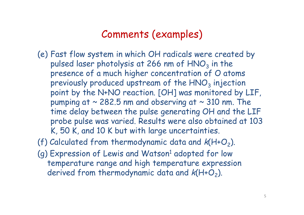### Comments (examples)

- (e) Fast flow system in which OH radicals were created by pulsed laser photolysis at 266 nm of  $\mathsf{HNO}_3$  in the presence of a much higher concentration of O atoms previously produced upstream of the HNO $_3$  injection point by the N+NO reaction. [OH] was monitored by LIF, pumping at  $\sim$  282.5 nm and observing at  $\sim$  310 nm. The time delay between the pulse generating OH and the LIF probe pulse was varied. Results were also obtained at 103 K, 50 K, and 10 K but with large uncertainties.
- (f) Calculated from thermodynamic data and  $k(H+O_2)$ .
- (g) Expression of Lewis and Watson<sup>1</sup> adopted for low temperature range and high temperature expression derived from thermodynamic data and  $k(H+O_2)$ .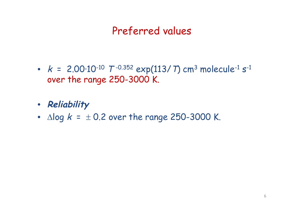## Preferred values

- $k$  = 2.00·10<sup>-10</sup>  $T$ <sup>-0.352</sup> exp(113/ T) cm<sup>3</sup> molecule<sup>-1</sup> s<sup>-1</sup> over the range 250-3000 K.
- **Reliability**
- $\triangle$  log  $k = \pm 0.2$  over the range 250-3000 K.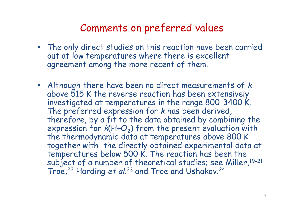### Comments on preferred values

- The only direct studies on this reaction have been carried out at low temperatures where there is excellent agreement among the more recent of them.
- Although there have been no direct measurements of k above 515 K the reverse reaction has been extensively investigated at temperatures in the range 800-3400 K. The preferred expression for k has been derived, therefore, by a fit to the data obtained by combining the expression for  $k(H+O_2)$  from the present evaluation with the thermodynamic data at temperatures above 800 K together with the directly obtained experimental data at temperatures below 500 K. The reaction has been the subject of a number of theoretical studies; see Miller, 19-21 Troe,<sup>22</sup> Harding et al.<sup>23</sup> and Troe and Ushakov.<sup>24</sup>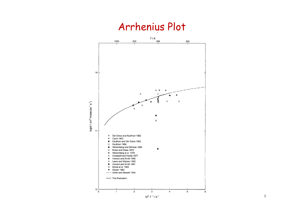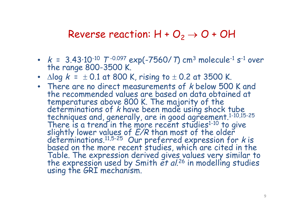### Reverse reaction:  $H + O_2 \rightarrow O + OH$

- $k$  = 3.43·10<sup>-10</sup>  $T$ <sup>-0.097</sup> exp(-7560/ T) cm<sup>3</sup> molecule<sup>-1</sup> s<sup>-1</sup> over the range 800-3500 K.
- $\Delta$ log  $k = \pm 0.1$  at 800 K, rising to  $\pm$  0.2 at 3500 K.
- There are no direct measurements of *k* below 500 K and the recommended values are based on data obtained at temperatures above 800 K. The majority of the determinations of  $k$  have been made using shock tube techniques and, generally, are in good agreement.<sup>1-10,15-25</sup> There is a trend in the more recent studies<sup>1-10</sup> to give slightly lower values of  $E/R$  than most of the older determinations. $11,5-25$  Our preferred expression for k is based on the more recent studies, which are cited in the Table. The expression derived gives values very similar to the expression used by Smith et al.<sup>26</sup> in modelling studies using the GRI mechanism.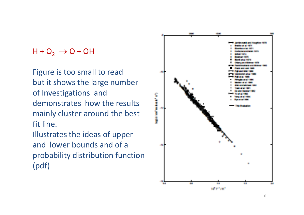### $H + O_2 \rightarrow O + OH$

Figure is too small to read but it shows the large number of Investigations and demonstrates how the results mainly cluster around the best fit line.

Illustrates the ideas of upper and lower bounds and of a probability distribution function (pdf)

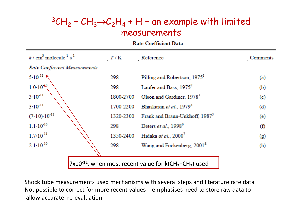### ${}^3CH_2$  +  $CH_3\rightarrow C_2H_4$  + H - an example with limited measurements

**Rate Coefficient Data** 

| $k / \text{cm}^3$ molecule <sup>-1</sup> s <sup>-1</sup> | T/K       | Reference                                                                           | Comments |
|----------------------------------------------------------|-----------|-------------------------------------------------------------------------------------|----------|
| Rate Coefficient Measurements                            |           |                                                                                     |          |
|                                                          | 298       | Pilling and Robertson, 1975 <sup>1</sup>                                            | (a)      |
| $5.10^{-11}$ N<br>$1.0.10^{10}$                          | 298       | Laufer and Bass, 1975 <sup>2</sup>                                                  | (b)      |
| $3 \cdot 10^{-11}$<br>$3 \cdot 10^{-11}$                 | 1800-2700 | Olson and Gardiner, 1978 <sup>3</sup>                                               | (c)      |
|                                                          | 1700-2200 | Bhaskaran et al., 1979 <sup>4</sup>                                                 | (d)      |
| $(7-10) \cdot 10^{-11}$                                  | 1320-2300 | Frank and Braun-Unkhoff, 1987 <sup>5</sup>                                          | (e)      |
| $1.1 \cdot 10^{-10}$                                     | 298       | Deters et al., 1998 <sup>6</sup>                                                    | (f)      |
| $1.7 \cdot 10^{-11}$                                     | 1350-2400 | Hidaka et al., 2000 <sup>7</sup>                                                    | (g)      |
| $2.1 \cdot 10^{-10}$                                     | 298       | Wang and Fockenberg, 2001 <sup>8</sup>                                              | (h)      |
|                                                          |           |                                                                                     |          |
|                                                          |           | $7x10^{-11}$ , when most recent value for k(CH <sub>3</sub> +CH <sub>3</sub> ) used |          |

Shock tube measurements used mechanisms with several steps and literature rate data Not possible to correct for more recent values – emphasises need to store raw data to allow accurate re-evaluation  $11$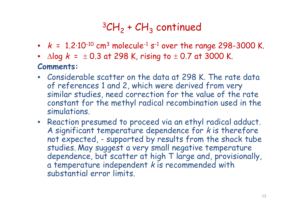# ${}^3$ CH<sub>2</sub> + CH<sub>3</sub> continued

- $k = 1.2 \cdot 10^{-10}$  cm<sup>3</sup> molecule<sup>-1</sup> s<sup>-1</sup> over the range 298-3000 K.
- $\Delta$ log  $k = \pm 0.3$  at 298 K, rising to  $\pm 0.7$  at 3000 K.

### **Comments:**

- Considerable scatter on the data at 298 K. The rate data of references 1 and 2, which were derived from very similar studies, need correction for the value of the rate constant for the methyl radical recombination used in the simulations.
- Reaction presumed to proceed via an ethyl radical adduct. A significant temperature dependence for k is therefore not expected, - supported by results from the shock tube studies. May suggest a very small negative temperature dependence, but scatter at high T large and, provisionally, a temperature independent  $k$  is recommended with substantial error limits.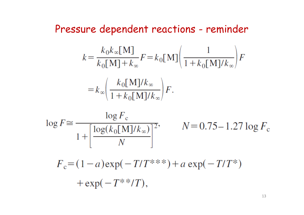## Pressure dependent reactions - reminder

$$
k = \frac{k_0 k_\infty \text{[M]}}{k_0 \text{[M]} + k_\infty} F = k_0 \text{[M]} \left( \frac{1}{1 + k_0 \text{[M]} / k_\infty} \right) F
$$

$$
= k_\infty \left( \frac{k_0 \text{[M]} / k_\infty}{1 + k_0 \text{[M]} / k_\infty} \right) F.
$$

$$
\log F \approx \frac{\log F_{\rm c}}{1 + \left[\frac{\log(k_0 \text{[M]}/k_{\infty})}{N}\right]^2}, \qquad N = 0.75 - 1.27 \log F_{\rm c}
$$

$$
F_c = (1 - a) \exp(-T/T^{***}) + a \exp(-T/T^{*})
$$
  
+  $\exp(-T^{**}/T)$ ,

13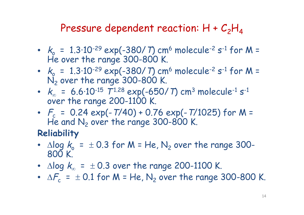### Pressure dependent reaction:  $H + C_2H_4$

- $k_{\rm o}$  = 1.3·10<sup>-29</sup> exp(-380/ T) cm<sup>6</sup> molecule<sup>-2</sup> s<sup>-1</sup> for M = He over the range 300-800 K.
- $k_{\rm e}$  = 1.3·10<sup>-29</sup> exp(-380/ T) cm<sup>6</sup> molecule<sup>-2</sup> s<sup>-1</sup> for M =  $N_2$  over the range 300-800 K.
- $k_{\infty}$  = 6.6·10<sup>-15</sup>  $T^{1.28}$  exp(-650/ T) cm<sup>3</sup> molecule<sup>-1</sup> s<sup>-1</sup> over the range 200-1100 K.
- $F_c = 0.24 \exp(-T/40) + 0.76 \exp(-T/1025)$  for M = He and  $N_2$  over the range 300-800 K.

### **Reliability**

- $\Delta$ log  $k_{o}$  =  $\pm$  0.3 for M = He, N<sub>2</sub> over the range 300-800 K.
- $\Delta$ log  $k_{\infty}$  =  $\pm$  0.3 over the range 200-1100 K.
- $\Delta F_c$  =  $\pm$  0.1 for M = He, N<sub>2</sub> over the range 300-800 K.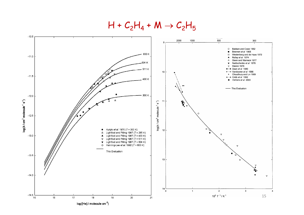$H + C_2H_4 + M \rightarrow C_2H_5$ 

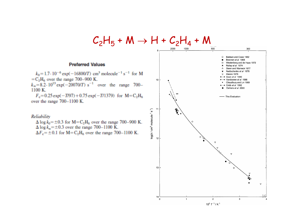

1100 K.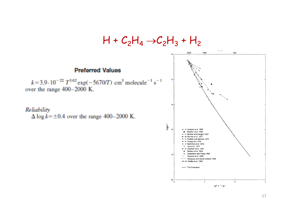

17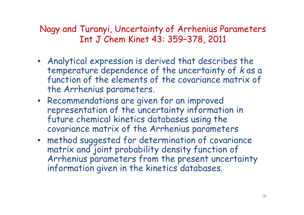Nagy and Turanyi, Uncertainty of Arrhenius Parameters Int J Chem Kinet 43: 359–378, 2011

- Analytical expression is derived that describes the temperature dependence of the uncertainty of k as a function of the elements of the covariance matrix of the Arrhenius parameters.
- Recommendations are given for an improved representation of the uncertainty information in future chemical kinetics databases using the covariance matrix of the Arrhenius parameters
- method suggested for determination of covariance matrix and joint probability density function of Arrhenius parameters from the present uncertainty information given in the kinetics databases.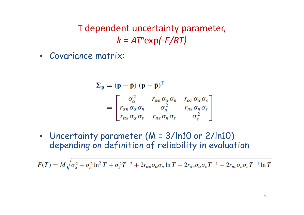T dependent uncertainty parameter, *k* = *AT<sup>n</sup>*exp*(-E/RT)*

• Covariance matrix:

$$
\Sigma_{\mathbf{p}} = (\mathbf{p} - \bar{\mathbf{p}}) (\mathbf{p} - \bar{\mathbf{p}})^{\mathrm{T}}
$$
  
= 
$$
\begin{bmatrix} \sigma_{\alpha}^{2} & r_{\alpha n} \sigma_{\alpha} \sigma_{n} & r_{\alpha \varepsilon} \sigma_{\alpha} \sigma_{\varepsilon} \\ r_{\alpha n} \sigma_{\alpha} \sigma_{n} & \sigma_{n}^{2} & r_{n \varepsilon} \sigma_{n} \sigma_{\varepsilon} \\ r_{\alpha \varepsilon} \sigma_{\alpha} \sigma_{\varepsilon} & r_{n \varepsilon} \sigma_{n} \sigma_{\varepsilon} & \sigma_{\varepsilon}^{2} \end{bmatrix}
$$

• Uncertainty parameter (M = 3/ln10 or 2/ln10) depending on definition of reliability in evaluation

 $F(T) = M \sqrt{\sigma_{\alpha}^2 + \sigma_{n}^2 \ln^2 T + \sigma_{\varepsilon}^2 T^{-2} + 2r_{\alpha n} \sigma_{\alpha} \sigma_{n} \ln T - 2r_{\alpha \varepsilon} \sigma_{\alpha} \sigma_{\varepsilon} T^{-1} - 2r_{n \varepsilon} \sigma_{n} \sigma_{\varepsilon} T^{-1} \ln T}$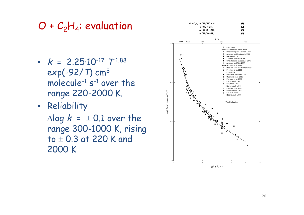# $O + C_2H_4$ : evaluation

- $k = 2.25 \cdot 10^{-17}$   $T^{1.88}$ exp(-92/T) cm<sup>3</sup> molecule-1 s -1 over the range 220-2000 K.
- Reliability

 $\Delta$ log  $k = \pm 0.1$  over the range 300-1000 K, rising to  $\pm$  0.3 at 220 K and 2000 K

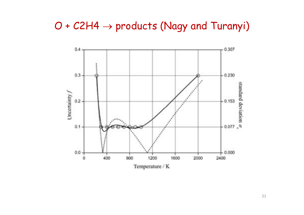## $O + C2H4 \rightarrow$  products (Nagy and Turanyi)

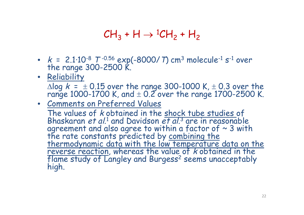## $CH_3 + H \rightarrow {^1CH_2} + H_2$

- $k$  = 2.1·10-8  $T$ -0.56 exp(-8000/ T) cm<sup>3</sup> molecule<sup>-1</sup> s<sup>-1</sup> over the range 300-2500 K.
- Reliability

 $\Delta$ log  $k$  =  $\pm$  0.15 over the range 300-1000 K,  $\pm$  0.3 over the range 1000-1700 K, and  $\pm$  0.2 over the range 1700-2500 K.

• Comments on Preferred Values

The values of *k* obtained in the shock tube studies of Bhaskaran et al.<sup>1</sup> and Davidson et al.<sup>3</sup> are in reasonable agreement and also agree to within a factor of  $\sim$  3 with the rate constants predicted by combining the thermodynamic data with the low temperature data on the reverse reaction, whereas the value of k obtained in the flame study of Langley and Burgess<sup>2</sup> seems unacceptably high.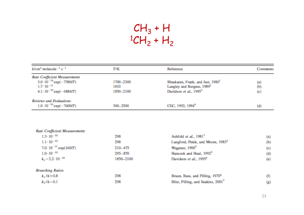## $CH_3 + H$  ${}^{1}CH_{2} + H_{2}$

| $k$ /cm <sup>3</sup> molecule <sup>-1</sup> s <sup>-1</sup> | T/K       | Reference                                     | <b>Comments</b>   |
|-------------------------------------------------------------|-----------|-----------------------------------------------|-------------------|
| Rate Coefficient Measurements                               |           |                                               |                   |
| 3.0-10 <sup>-10</sup> exp(-7580/T)                          | 1700-2300 | Bhaskaran, Frank, and Just, 1980 <sup>1</sup> | $\left( n\right)$ |
| $1.7 \cdot 10^{-11}$                                        | 1810      | Langley and Burgess, 1989 <sup>2</sup>        | (b)               |
| $4.1 \cdot 10^{-10}$ exp(-6884/T)                           | 1850-2100 | Davidson et al., 1995 <sup>3</sup>            | (c)               |
| Reviews and Evaluations                                     |           |                                               |                   |
| 1.0-10 <sup>-10</sup> exp(-7600/T)                          | 300-2500  | CEC, 1992; 1994 <sup>4</sup>                  | $\bf(d)$          |

| Rate Coefficient Measurements    |           |                                                |          |
|----------------------------------|-----------|------------------------------------------------|----------|
| $1.3 \cdot 10^{-10}$             | 298       | Ashfold et al., 1981 <sup>1</sup>              | (a)      |
| $1.1 - 10^{-10}$                 | 298       | Langford, Petek, and Moore, 1983 <sup>2</sup>  | (b)      |
| 7.0-10 <sup>-11</sup> exp(160/T) | 210-475   | Wagener, 1990 <sup>3</sup>                     | (c)      |
| $1.0 - 10^{-10}$                 | 295-859   | Hancock and Heal, 1992 <sup>4</sup>            | (d)      |
| $k_1 = 2.2 \cdot 10^{-10}$       | 1850-2100 | Davidson et al., 1995 <sup>5</sup>             | (e)      |
| <b>Branching Ratios</b>          |           |                                                |          |
| $k_1/k > 0.8$                    | 298       | Braun, Bass, and Pilling, 1970 <sup>6</sup>    | $^{(f)}$ |
| $k_2/k = 0.1$                    | 298       | Blitz, Pilling, and Seakins, 2001 <sup>7</sup> | (g)      |
|                                  |           |                                                |          |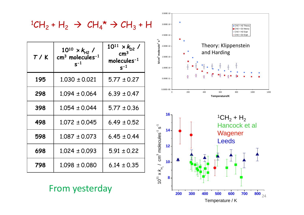

From yesterday

**200 300 400 500 600 700 800** Temperature / K

 $800$ <sub>24</sub>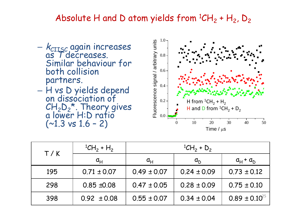### Absolute H and D atom yields from  ${}^{1}CH_{2} + H_{2}$ , D<sub>2</sub>

- $k_{\scriptstyle\textrm{CILSC}}$  again increases as T decreases. Similar behaviour for both collision partners.
- H vs D yields depend on dissociation of



| T/K | ${}^{1}CH_{2} + H_{2}$      | <sup>1</sup> CH <sub>2</sub> + D <sub>2</sub> |                 |                      |
|-----|-----------------------------|-----------------------------------------------|-----------------|----------------------|
|     | $\mathfrak{a}_{\mathsf{H}}$ | $\mathfrak{a}_{\mathsf{H}}$                   | a <sub>D</sub>  | $a_H + a_D$          |
| 195 | $0.71 \pm 0.07$             | $0.49 \pm 0.07$                               | $0.24 \pm 0.09$ | $0.73 \pm 0.12$      |
| 298 | $0.85 \pm 0.08$             | $0.47 \pm 0.05$                               | $0.28 \pm 0.09$ | $0.75 \pm 0.10$      |
| 398 | $0.92 \pm 0.08$             | $0.55 \pm 0.07$                               | $0.34 \pm 0.04$ | $0.89 \pm 0.10^{25}$ |